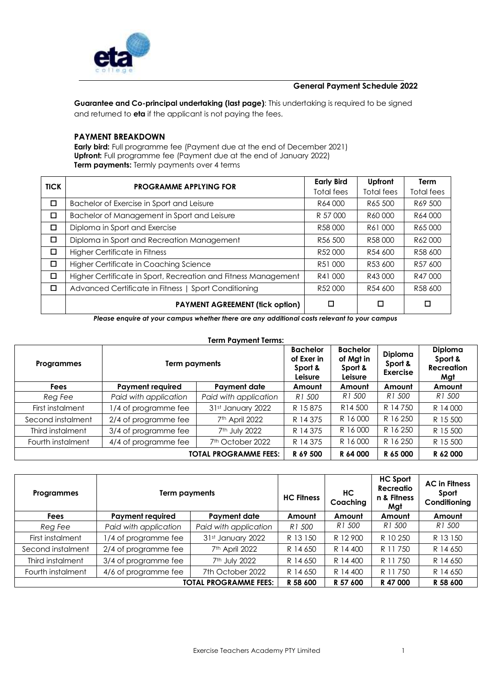

## **General Payment Schedule 2022**

**Guarantee and Co-principal undertaking (last page)**: This undertaking is required to be signed and returned to **eta** if the applicant is not paying the fees.

## **PAYMENT BREAKDOWN**

**Early bird:** Full programme fee (Payment due at the end of December 2021) **Upfront:** Full programme fee (Payment due at the end of January 2022) **Term payments:** Termly payments over 4 terms

| <b>TICK</b> | <b>PROGRAMME APPLYING FOR</b>                                  | <b>Early Bird</b><br>Total fees | Upfront<br><b>Total fees</b> | <b>Term</b><br>Total fees |
|-------------|----------------------------------------------------------------|---------------------------------|------------------------------|---------------------------|
| □           | Bachelor of Exercise in Sport and Leisure                      | R64000                          | R65 500                      | R69 500                   |
| □           | Bachelor of Management in Sport and Leisure                    | R 57 000                        | R60000                       | R64000                    |
| □           | Diploma in Sport and Exercise                                  | R58000                          | R61 000                      | R65000                    |
| □           | Diploma in Sport and Recreation Management                     | R56 500                         | R58000                       | R62000                    |
| □           | Higher Certificate in Fitness                                  | R52000                          | R54 600                      | R58 600                   |
| □           | Higher Certificate in Coaching Science                         | R51 000                         | R53 600                      | R57 600                   |
| $\Box$      | Higher Certificate in Sport, Recreation and Fitness Management | R41 000                         | R43 000                      | R47000                    |
| □           | Advanced Certificate in Fitness   Sport Conditioning           | R52000                          | R54 600                      | R58 600                   |
|             | <b>PAYMENT AGREEMENT (fick option)</b>                         |                                 | □                            | □                         |

*Please enquire at your campus whether there are any additional costs relevant to your campus*

#### **Term Payment Terms:**

| <b>Programmes</b> | Term payments           |                              | <b>Bachelor</b><br>of Exer in<br>Sport &<br>Leisure | <b>Bachelor</b><br>of Mgt in<br>Sport &<br>Leisure | Diploma<br>Sport &<br><b>Exercise</b> | <b>Diploma</b><br>Sport &<br><b>Recreation</b><br>Mgt |
|-------------------|-------------------------|------------------------------|-----------------------------------------------------|----------------------------------------------------|---------------------------------------|-------------------------------------------------------|
| <b>Fees</b>       | <b>Payment required</b> | Payment date                 | Amount                                              | Amount                                             | Amount                                | Amount                                                |
| Reg Fee           | Paid with application   | Paid with application        | R1 500                                              | R1 500                                             | R1 500                                | R1 500                                                |
| First instalment  | 1/4 of programme fee    | 31st January 2022            | R 15875                                             | R <sub>14</sub> 500                                | R 14750                               | R 14000                                               |
| Second instalment | 2/4 of programme fee    | 7 <sup>th</sup> April 2022   | R 14 375                                            | R 16000                                            | R 16 250                              | R 15 500                                              |
| Third instalment  | 3/4 of programme fee    | 7 <sup>th</sup> July 2022    | R 14 375                                            | R 16000                                            | R 16 250                              | R 15 500                                              |
| Fourth instalment | 4/4 of programme fee    | 7 <sup>th</sup> October 2022 | R 14375                                             | R 16000                                            | R 16 250                              | R 15 500                                              |
|                   |                         | <b>TOTAL PROGRAMME FEES:</b> | R 69 500                                            | R 64 000                                           | R 65 000                              | R 62 000                                              |

| <b>Programmes</b> | <b>Term payments</b>                                                         |                            | <b>HC Filmess</b> | HC<br>Coaching | <b>HC Sport</b><br>Recreatio<br>n & Fitness<br>Mgt | <b>AC in Filmess</b><br>Sport<br>Conditioning |  |
|-------------------|------------------------------------------------------------------------------|----------------------------|-------------------|----------------|----------------------------------------------------|-----------------------------------------------|--|
| <b>Fees</b>       | <b>Payment required</b>                                                      | Payment date               | Amount            | Amount         | Amount                                             | Amount                                        |  |
| Reg Fee           | Paid with application                                                        | Paid with application      | R1 500            | R1 500         | R1 500                                             | R1 500                                        |  |
| First instalment  | 1/4 of programme fee                                                         | 31st January 2022          | R 13 150          | R 12 900       | R 10 250                                           | R 13 150                                      |  |
| Second instalment | 2/4 of programme fee                                                         | 7 <sup>th</sup> April 2022 | R 14 650          | R 14 400       | R 11750                                            | R 14 650                                      |  |
| Third instalment  | 3/4 of programme fee                                                         | 7 <sup>th</sup> July 2022  | R 14 650          | R 14 400       | R 11750                                            | R 14 650                                      |  |
| Fourth instalment | 4/6 of programme fee                                                         | 7th October 2022           | R 14 650          | R 14 400       | R 11750                                            | R 14 650                                      |  |
|                   | R 58 600<br>R 57 600<br>R 47 000<br><b>TOTAL PROGRAMME FEES:</b><br>R 58 600 |                            |                   |                |                                                    |                                               |  |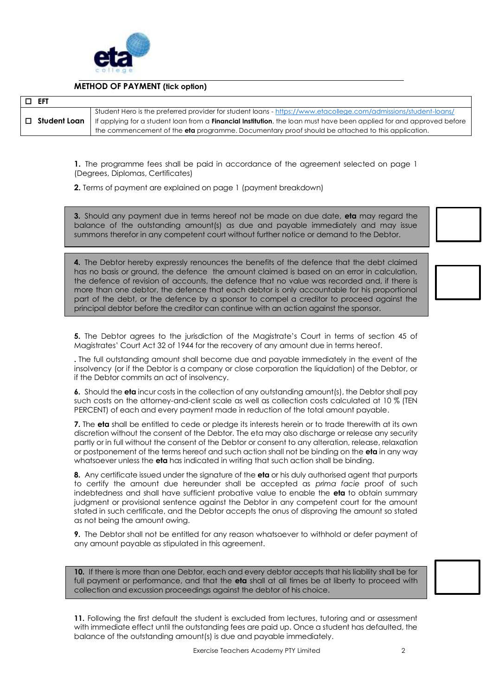

# **METHOD OF PAYMENT (tick option)**

 **EFT Student Loan** Student Hero is the preferred provider for student loans - <https://www.etacollege.com/admissions/student-loans/> If applying for a student loan from a **Financial Institution**, the loan must have been applied for and approved before the commencement of the **eta** programme. Documentary proof should be attached to this application.

**1.** The programme fees shall be paid in accordance of the agreement selected on page 1 (Degrees, Diplomas, Certificates)

**2.** Terms of payment are explained on page 1 (payment breakdown)

**3.** Should any payment due in terms hereof not be made on due date, **eta** may regard the balance of the outstanding amount(s) as due and payable immediately and may issue summons therefor in any competent court without further notice or demand to the Debtor.

**4.** The Debtor hereby expressly renounces the benefits of the defence that the debt claimed has no basis or ground, the defence the amount claimed is based on an error in calculation, the defence of revision of accounts, the defence that no value was recorded and, if there is more than one debtor, the defence that each debtor is only accountable for his proportional part of the debt, or the defence by a sponsor to compel a creditor to proceed against the principal debtor before the creditor can continue with an action against the sponsor.

**5.** The Debtor agrees to the jurisdiction of the Magistrate's Court in terms of section 45 of Magistrates' Court Act 32 of 1944 for the recovery of any amount due in terms hereof.

**.** The full outstanding amount shall become due and payable immediately in the event of the insolvency (or if the Debtor is a company or close corporation the liquidation) of the Debtor, or if the Debtor commits an act of insolvency.

**6.** Should the **eta** incur costs in the collection of any outstanding amount(s), the Debtor shall pay such costs on the attorney-and-client scale as well as collection costs calculated at 10 % (TEN PERCENT) of each and every payment made in reduction of the total amount payable.

**7.** The **eta** shall be entitled to cede or pledge its interests herein or to trade therewith at its own discretion without the consent of the Debtor. The eta may also discharge or release any security partly or in full without the consent of the Debtor or consent to any alteration, release, relaxation or postponement of the terms hereof and such action shall not be binding on the **eta** in any way whatsoever unless the **eta** has indicated in writing that such action shall be binding.

**8.** Any certificate issued under the signature of the **eta** or his duly authorised agent that purports to certify the amount due hereunder shall be accepted as *prima facie* proof of such indebtedness and shall have sufficient probative value to enable the **eta** to obtain summary judgment or provisional sentence against the Debtor in any competent court for the amount stated in such certificate, and the Debtor accepts the onus of disproving the amount so stated as not being the amount owing.

**9.** The Debtor shall not be entitled for any reason whatsoever to withhold or defer payment of any amount payable as stipulated in this agreement.

**10.** If there is more than one Debtor, each and every debtor accepts that his liability shall be for full payment or performance, and that the **eta** shall at all times be at liberty to proceed with collection and excussion proceedings against the debtor of his choice.

11. Following the first default the student is excluded from lectures, tutoring and or assessment with immediate effect until the outstanding fees are paid up. Once a student has defaulted, the balance of the outstanding amount(s) is due and payable immediately.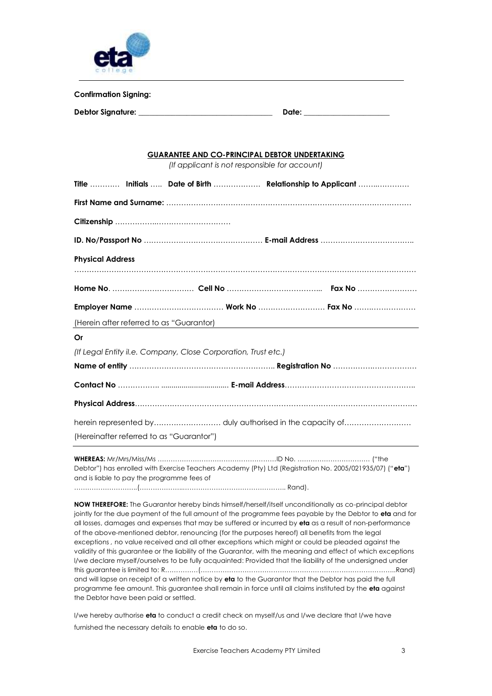

**Confirmation Signing:** 

| www.community.com |       |
|-------------------|-------|
| Debtor Signature: | Date: |

### **GUARANTEE AND CO-PRINCIPAL DEBTOR UNDERTAKING**

*(If applicant is not responsible for account)*

|                                          |                                                                | Title  Initials  Date of Birth  Relationship to Applicant |
|------------------------------------------|----------------------------------------------------------------|-----------------------------------------------------------|
|                                          |                                                                |                                                           |
|                                          |                                                                |                                                           |
|                                          |                                                                |                                                           |
| <b>Physical Address</b>                  |                                                                |                                                           |
|                                          |                                                                |                                                           |
|                                          |                                                                |                                                           |
|                                          |                                                                | (Herein after referred to as "Guarantor)                  |
| Or                                       |                                                                |                                                           |
|                                          | (If Legal Entity il.e. Company, Close Corporation, Trust etc.) |                                                           |
|                                          |                                                                |                                                           |
|                                          |                                                                |                                                           |
|                                          |                                                                |                                                           |
|                                          |                                                                |                                                           |
| (Hereinafter referred to as "Guarantor") |                                                                |                                                           |

**WHEREAS:** Mr/Mrs/Miss/Ms ………………………………………………ID No. …………………………… ("the Debtor") has enrolled with Exercise Teachers Academy (Pty) Ltd (Registration No. 2005/021935/07) ("**eta**") and is liable to pay the programme fees of

………………………..(………………..……………………………………….. Rand).

**NOW THEREFORE:** The Guarantor hereby binds himself/herself/itself unconditionally as co-principal debtor jointly for the due payment of the full amount of the programme fees payable by the Debtor to **eta** and for all losses, damages and expenses that may be suffered or incurred by **eta** as a result of non-performance of the above-mentioned debtor, renouncing (for the purposes hereof) all benefits from the legal exceptions *,* no value received and all other exceptions which might or could be pleaded against the validity of this guarantee or the liability of the Guarantor, with the meaning and effect of which exceptions l/we declare myself/ourselves to be fully acquainted: Provided that the liability of the undersigned under this guarantee is limited to: R……………(……………………………………………………………………………..Rand) and will lapse on receipt of a written notice by **eta** to the Guarantor that the Debtor has paid the full programme fee amount. This guarantee shall remain in force until all claims instituted by the **eta** against the Debtor have been paid or settled.

I/we hereby authorise **eta** to conduct a credit check on myself/us and I/we declare that I/we have furnished the necessary details to enable **eta** to do so.